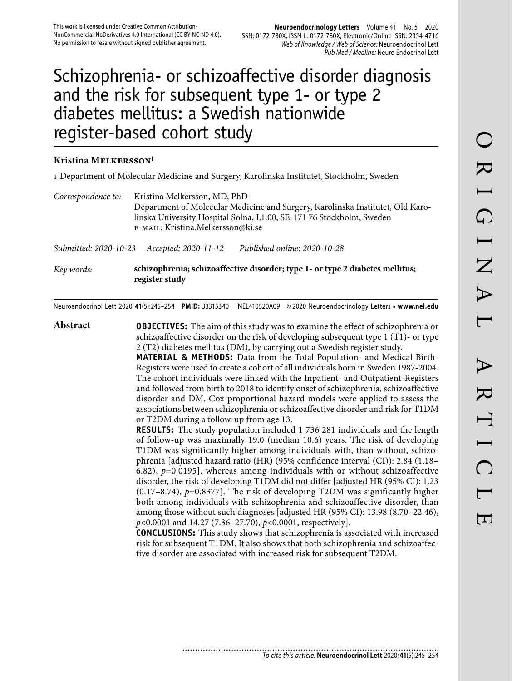# Schizophrenia- or schizoaffective disorder diagnosis and the risk for subsequent type 1- or type 2 diabetes mellitus: a Swedish nationwide register-based cohort study

#### **Kristina Melkersson1**

1 Department of Molecular Medicine and Surgery, Karolinska Institutet, Stockholm, Sweden

*Correspondence to:* Kristina Melkersson, MD, PhD Department of Molecular Medicine and Surgery, Karolinska Institutet, Old Karolinska University Hospital Solna, L1:00, SE-171 76 Stockholm, Sweden e-mail: Kristina.Melkersson@ki.se

*Submitted: 2020-10-23 Accepted: 2020-11-12 Published online: 2020-10-28*

*Key words:* **schizophrenia; schizoaffective disorder; type 1- or type 2 diabetes mellitus; register study**

Neuroendocrinol Lett 2020; **41**(5):245–254 **PMID:** 33315340 NEL410520A09 © 2020 Neuroendocrinology Letters • **www.nel.edu**

**Abstract OBJECTIVES:** The aim of this study was to examine the effect of schizophrenia or schizoaffective disorder on the risk of developing subsequent type 1 (T1)- or type 2 (T2) diabetes mellitus (DM), by carrying out a Swedish register study.

**MATERIAL & METHODS:** Data from the Total Population- and Medical Birth-Registers were used to create a cohort of all individuals born in Sweden 1987-2004. The cohort individuals were linked with the Inpatient- and Outpatient-Registers and followed from birth to 2018 to identify onset of schizophrenia, schizoaffective disorder and DM. Cox proportional hazard models were applied to assess the associations between schizophrenia or schizoaffective disorder and risk for T1DM or T2DM during a follow-up from age 13.

**RESULTS:** The study population included 1 736 281 individuals and the length of follow-up was maximally 19.0 (median 10.6) years. The risk of developing T1DM was significantly higher among individuals with, than without, schizophrenia [adjusted hazard ratio (HR) (95% confidence interval (CI)): 2.84 (1.18– 6.82), *p*=0.0195], whereas among individuals with or without schizoaffective disorder, the risk of developing T1DM did not differ [adjusted HR (95% CI): 1.23 (0.17–8.74), *p*=0.8377]. The risk of developing T2DM was significantly higher both among individuals with schizophrenia and schizoaffective disorder, than among those without such diagnoses [adjusted HR (95% CI): 13.98 (8.70–22.46), *p*<0.0001 and 14.27 (7.36–27.70), *p*<0.0001, respectively].

**CONCLUSIONS:** This study shows that schizophrenia is associated with increased risk for subsequent T1DM. It also shows that both schizophrenia and schizoaffective disorder are associated with increased risk for subsequent T2DM.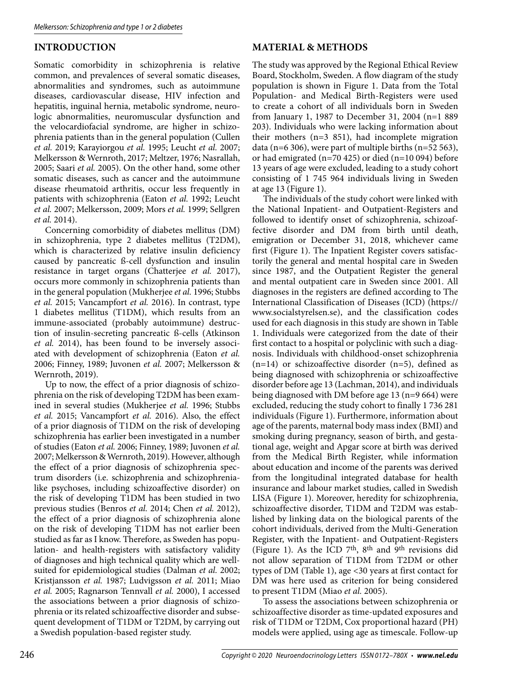## **INTRODUCTION**

Somatic comorbidity in schizophrenia is relative common, and prevalences of several somatic diseases, abnormalities and syndromes, such as autoimmune diseases, cardiovascular disease, HIV infection and hepatitis, inguinal hernia, metabolic syndrome, neurologic abnormalities, neuromuscular dysfunction and the velocardiofacial syndrome, are higher in schizophrenia patients than in the general population (Cullen *et al.* 2019; Karayiorgou *et al.* 1995; Leucht *et al.* 2007; Melkersson & Wernroth, 2017; Meltzer, 1976; Nasrallah, 2005; Saari *et al.* 2005). On the other hand, some other somatic diseases, such as cancer and the autoimmune disease rheumatoid arthritis, occur less frequently in patients with schizophrenia (Eaton *et al.* 1992; Leucht *et al.* 2007; Melkersson, 2009; Mors *et al.* 1999; Sellgren *et al.* 2014).

Concerning comorbidity of diabetes mellitus (DM) in schizophrenia, type 2 diabetes mellitus (T2DM), which is characterized by relative insulin deficiency caused by pancreatic ß-cell dysfunction and insulin resistance in target organs (Chatterjee *et al.* 2017), occurs more commonly in schizophrenia patients than in the general population (Mukherjee *et al.* 1996; Stubbs *et al.* 2015; Vancampfort *et al.* 2016). In contrast, type 1 diabetes mellitus (T1DM), which results from an immune-associated (probably autoimmune) destruction of insulin-secreting pancreatic ß-cells (Atkinson *et al.* 2014), has been found to be inversely associated with development of schizophrenia (Eaton *et al.* 2006; Finney, 1989; Juvonen *et al.* 2007; Melkersson & Wernroth, 2019).

Up to now, the effect of a prior diagnosis of schizophrenia on the risk of developing T2DM has been examined in several studies (Mukherjee *et al.* 1996; Stubbs *et al.* 2015; Vancampfort *et al.* 2016). Also, the effect of a prior diagnosis of T1DM on the risk of developing schizophrenia has earlier been investigated in a number of studies (Eaton *et al.* 2006; Finney, 1989; Juvonen *et al.* 2007; Melkersson & Wernroth, 2019). However, although the effect of a prior diagnosis of schizophrenia spectrum disorders (i.e. schizophrenia and schizophrenialike psychoses, including schizoaffective disorder) on the risk of developing T1DM has been studied in two previous studies (Benros *et al.* 2014; Chen *et al.* 2012), the effect of a prior diagnosis of schizophrenia alone on the risk of developing T1DM has not earlier been studied as far as I know. Therefore, as Sweden has population- and health-registers with satisfactory validity of diagnoses and high technical quality which are wellsuited for epidemiological studies (Dalman *et al.* 2002; Kristjansson *et al.* 1987; Ludvigsson *et al.* 2011; Miao *et al.* 2005; Ragnarson Tennvall *et al.* 2000), I accessed the associations between a prior diagnosis of schizophrenia or its related schizoaffective disorder and subsequent development of T1DM or T2DM, by carrying out a Swedish population-based register study.

### **MATERIAL & METHODS**

The study was approved by the Regional Ethical Review Board, Stockholm, Sweden. A flow diagram of the study population is shown in Figure 1. Data from the Total Population- and Medical Birth-Registers were used to create a cohort of all individuals born in Sweden from January 1, 1987 to December 31, 2004 (n=1 889 203). Individuals who were lacking information about their mothers (n=3 851), had incomplete migration data (n=6 306), were part of multiple births (n=52 563), or had emigrated (n=70 425) or died (n=10 094) before 13 years of age were excluded, leading to a study cohort consisting of 1 745 964 individuals living in Sweden at age 13 (Figure 1).

The individuals of the study cohort were linked with the National Inpatient- and Outpatient-Registers and followed to identify onset of schizophrenia, schizoaffective disorder and DM from birth until death, emigration or December 31, 2018, whichever came first (Figure 1). The Inpatient Register covers satisfactorily the general and mental hospital care in Sweden since 1987, and the Outpatient Register the general and mental outpatient care in Sweden since 2001. All diagnoses in the registers are defined according to The International Classification of Diseases (ICD) (https:// www.socialstyrelsen.se), and the classification codes used for each diagnosis in this study are shown in Table 1. Individuals were categorized from the date of their first contact to a hospital or polyclinic with such a diagnosis. Individuals with childhood-onset schizophrenia (n=14) or schizoaffective disorder (n=5), defined as being diagnosed with schizophrenia or schizoaffective disorder before age 13 (Lachman, 2014), and individuals being diagnosed with DM before age 13 (n=9 664) were excluded, reducing the study cohort to finally 1 736 281 individuals (Figure 1). Furthermore, information about age of the parents, maternal body mass index (BMI) and smoking during pregnancy, season of birth, and gestational age, weight and Apgar score at birth was derived from the Medical Birth Register, while information about education and income of the parents was derived from the longitudinal integrated database for health insurance and labour market studies, called in Swedish LISA (Figure 1). Moreover, heredity for schizophrenia, schizoaffective disorder, T1DM and T2DM was established by linking data on the biological parents of the cohort individuals, derived from the Multi-Generation Register, with the Inpatient- and Outpatient-Registers (Figure 1). As the ICD 7<sup>th</sup>, 8<sup>th</sup> and 9<sup>th</sup> revisions did not allow separation of T1DM from T2DM or other types of DM (Table 1), age <30 years at first contact for DM was here used as criterion for being considered to present T1DM (Miao *et al.* 2005).

To assess the associations between schizophrenia or schizoaffective disorder as time-updated exposures and risk of T1DM or T2DM, Cox proportional hazard (PH) models were applied, using age as timescale. Follow-up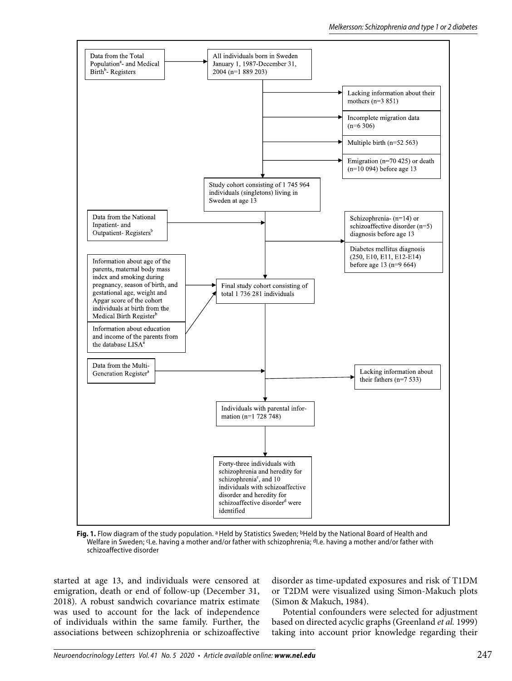

Fig. 1. Flow diagram of the study population. <sup>a</sup> Held by Statistics Sweden; <sup>b</sup>Held by the National Board of Health and Welfare in Sweden; <sup>c</sup>I.e. having a mother and/or father with schizophrenia; <sup>d</sup>I.e. having a mother and/or father with schizoaffective disorder

started at age 13, and individuals were censored at emigration, death or end of follow-up (December 31, 2018). A robust sandwich covariance matrix estimate was used to account for the lack of independence of individuals within the same family. Further, the associations between schizophrenia or schizoaffective

disorder as time-updated exposures and risk of T1DM or T2DM were visualized using Simon-Makuch plots (Simon & Makuch, 1984).

Potential confounders were selected for adjustment based on directed acyclic graphs (Greenland *et al.* 1999) taking into account prior knowledge regarding their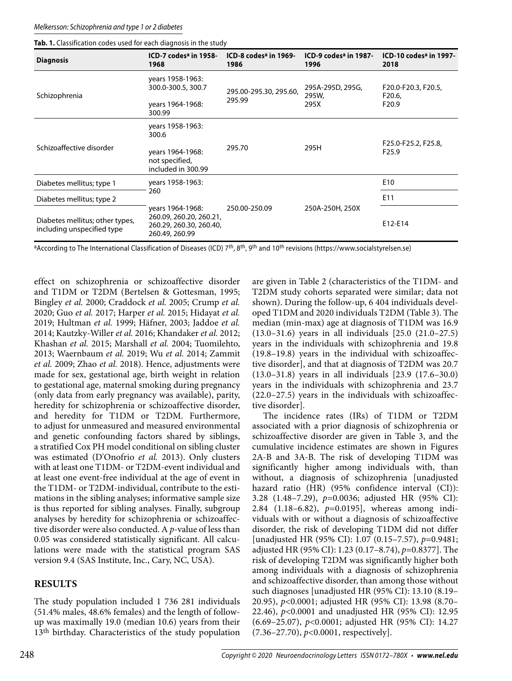| <b>Diagnosis</b>                                              | ICD-7 codes <sup>a</sup> in 1958-<br>1968                                                | ICD-8 codes <sup>a</sup> in 1969-<br>1986 |                           | ICD-10 codes <sup>a</sup> in 1997-<br>2018 |
|---------------------------------------------------------------|------------------------------------------------------------------------------------------|-------------------------------------------|---------------------------|--------------------------------------------|
| Schizophrenia                                                 | years 1958-1963:<br>300.0-300.5, 300.7                                                   | 295.00-295.30, 295.60,                    | 295A-295D, 295G,<br>295W, | F20.0-F20.3, F20.5,<br>F <sub>20.6</sub>   |
|                                                               | years 1964-1968:<br>300.99                                                               | 295.99                                    | 295X                      | F <sub>20.9</sub>                          |
| Schizoaffective disorder                                      | years 1958-1963:<br>300.6                                                                |                                           |                           |                                            |
|                                                               | years 1964-1968:<br>not specified,<br>included in 300.99                                 | 295.70                                    | 295H                      | F25.0-F25.2, F25.8,<br>F <sub>25.9</sub>   |
| Diabetes mellitus; type 1                                     | years 1958-1963:                                                                         |                                           |                           | E <sub>10</sub>                            |
| Diabetes mellitus; type 2                                     | 260                                                                                      |                                           |                           | E11                                        |
| Diabetes mellitus; other types,<br>including unspecified type | years 1964-1968:<br>260.09, 260.20, 260.21,<br>260.29, 260.30, 260.40,<br>260.49, 260.99 | 250.00-250.09                             | 250A-250H, 250X           | E12-E14                                    |

aAccording to The International Classification of Diseases (ICD) 7<sup>th</sup>, 8<sup>th</sup>, 9<sup>th</sup> and 10<sup>th</sup> revisions (https://www.socialstyrelsen.se)

effect on schizophrenia or schizoaffective disorder and T1DM or T2DM (Bertelsen & Gottesman, 1995; Bingley *et al.* 2000; Craddock *et al.* 2005; Crump *et al.* 2020; Guo *et al.* 2017; Harper *et al.* 2015; Hidayat *et al.* 2019; Hultman *et al.* 1999; Häfner, 2003; Jaddoe *et al.* 2014; Kautzky-Willer *et al.* 2016; Khandaker *et al.* 2012; Khashan *et al.* 2015; Marshall *et al.* 2004; Tuomilehto, 2013; Waernbaum *et al.* 2019; Wu *et al.* 2014; Zammit *et al.* 2009; Zhao *et al.* 2018). Hence, adjustments were made for sex, gestational age, birth weight in relation to gestational age, maternal smoking during pregnancy (only data from early pregnancy was available), parity, heredity for schizophrenia or schizoaffective disorder, and heredity for T1DM or T2DM. Furthermore, to adjust for unmeasured and measured environmental and genetic confounding factors shared by siblings, a stratified Cox PH model conditional on sibling cluster was estimated (D'Onofrio *et al.* 2013). Only clusters with at least one T1DM- or T2DM-event individual and at least one event-free individual at the age of event in the T1DM- or T2DM-individual, contribute to the estimations in the sibling analyses; informative sample size is thus reported for sibling analyses. Finally, subgroup analyses by heredity for schizophrenia or schizoaffective disorder were also conducted. A *p*-value of less than 0.05 was considered statistically significant. All calculations were made with the statistical program SAS version 9.4 (SAS Institute, Inc., Cary, NC, USA).

### **RESULTS**

The study population included 1 736 281 individuals (51.4% males, 48.6% females) and the length of followup was maximally 19.0 (median 10.6) years from their 13th birthday. Characteristics of the study population

are given in Table 2 (characteristics of the T1DM- and T2DM study cohorts separated were similar; data not shown). During the follow-up, 6 404 individuals developed T1DM and 2020 individuals T2DM (Table 3). The median (min-max) age at diagnosis of T1DM was 16.9 (13.0–31.6) years in all individuals [25.0 (21.0–27.5) years in the individuals with schizophrenia and 19.8 (19.8–19.8) years in the individual with schizoaffective disorder], and that at diagnosis of T2DM was 20.7 (13.0–31.8) years in all individuals [23.9 (17.6–30.0) years in the individuals with schizophrenia and 23.7 (22.0–27.5) years in the individuals with schizoaffective disorder].

The incidence rates (IRs) of T1DM or T2DM associated with a prior diagnosis of schizophrenia or schizoaffective disorder are given in Table 3, and the cumulative incidence estimates are shown in Figures 2A-B and 3A-B. The risk of developing T1DM was significantly higher among individuals with, than without, a diagnosis of schizophrenia [unadjusted hazard ratio (HR) (95% confidence interval (CI)): 3.28 (1.48–7.29), *p*=0.0036; adjusted HR (95% CI): 2.84 (1.18–6.82), *p*=0.0195], whereas among individuals with or without a diagnosis of schizoaffective disorder, the risk of developing T1DM did not differ [unadjusted HR (95% CI): 1.07 (0.15–7.57), *p*=0.9481; adjusted HR (95% CI): 1.23 (0.17–8.74), *p*=0.8377]. The risk of developing T2DM was significantly higher both among individuals with a diagnosis of schizophrenia and schizoaffective disorder, than among those without such diagnoses [unadjusted HR (95% CI): 13.10 (8.19– 20.95), *p*<0.0001; adjusted HR (95% CI): 13.98 (8.70– 22.46), *p*<0.0001 and unadjusted HR (95% CI): 12.95 (6.69–25.07), *p*<0.0001; adjusted HR (95% CI): 14.27 (7.36–27.70), *p*<0.0001, respectively].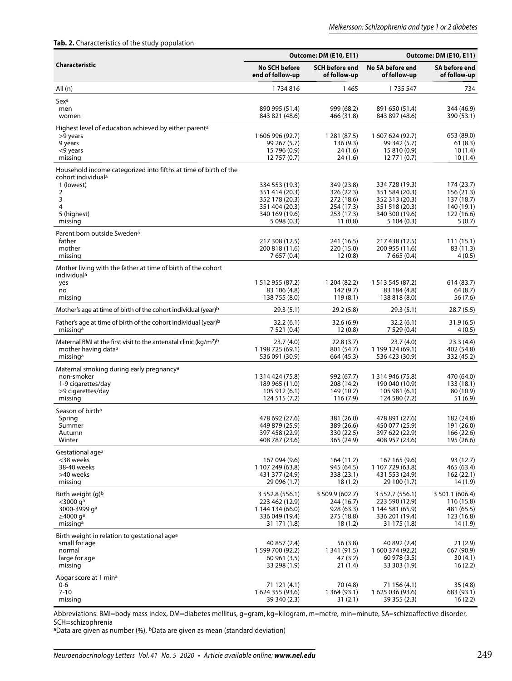#### **Tab. 2.** Characteristics of the study population

|                                                                                                                                                           |                                                                                                       | <b>Outcome: DM (E10, E11)</b>                                                 | <b>Outcome: DM (E10, E11)</b>                                                                         |                                                                              |  |
|-----------------------------------------------------------------------------------------------------------------------------------------------------------|-------------------------------------------------------------------------------------------------------|-------------------------------------------------------------------------------|-------------------------------------------------------------------------------------------------------|------------------------------------------------------------------------------|--|
| Characteristic                                                                                                                                            | <b>No SCH before</b><br>end of follow-up                                                              | <b>SCH before end</b><br>of follow-up                                         | No SA before end<br>of follow-up                                                                      | SA before end<br>of follow-up                                                |  |
| All (n)                                                                                                                                                   | 1734816                                                                                               | 1465                                                                          | 1735 547                                                                                              | 734                                                                          |  |
| Sexa<br>men<br>women                                                                                                                                      | 890 995 (51.4)<br>843 821 (48.6)                                                                      | 999 (68.2)<br>466 (31.8)                                                      | 891 650 (51.4)<br>843 897 (48.6)                                                                      | 344 (46.9)<br>390 (53.1)                                                     |  |
| Highest level of education achieved by either parent <sup>a</sup><br>>9 years<br>9 years<br><9 years<br>missing                                           | 1 606 996 (92.7)<br>99 267 (5.7)<br>15 796 (0.9)<br>12 757 (0.7)                                      | 1 281 (87.5)<br>136(9.3)<br>24(1.6)<br>24 (1.6)                               | 1 607 624 (92.7)<br>99 342 (5.7)<br>15 810 (0.9)<br>12 771 (0.7)                                      | 653 (89.0)<br>61(8.3)<br>10(1.4)<br>10(1.4)                                  |  |
| Household income categorized into fifths at time of birth of the<br>cohort individual <sup>a</sup><br>1 (lowest)<br>2<br>3<br>4<br>5 (highest)<br>missing | 334 553 (19.3)<br>351 414 (20.3)<br>352 178 (20.3)<br>351 404 (20.3)<br>340 169 (19.6)<br>5 098 (0.3) | 349 (23.8)<br>326 (22.3)<br>272 (18.6)<br>254 (17.3)<br>253 (17.3)<br>11(0.8) | 334 728 (19.3)<br>351 584 (20.3)<br>352 313 (20.3)<br>351 518 (20.3)<br>340 300 (19.6)<br>5 104 (0.3) | 174 (23.7)<br>156 (21.3)<br>137 (18.7)<br>140 (19.1)<br>122 (16.6)<br>5(0.7) |  |
| Parent born outside Sweden <sup>a</sup><br>father<br>mother<br>missing                                                                                    | 217 308 (12.5)<br>200 818 (11.6)<br>7 657 (0.4)                                                       | 241 (16.5)<br>220 (15.0)<br>12(0.8)                                           | 217 438 (12.5)<br>200 955 (11.6)<br>7 665 (0.4)                                                       | 111(15.1)<br>83 (11.3)<br>4(0.5)                                             |  |
| Mother living with the father at time of birth of the cohort<br>individual <sup>a</sup><br>yes<br>no<br>missing                                           | 1 512 955 (87.2)<br>83 106 (4.8)<br>138 755 (8.0)                                                     | 1 204 (82.2)<br>142 (9.7)<br>119(8.1)                                         | 1 513 545 (87.2)<br>83 184 (4.8)<br>138 818 (8.0)                                                     | 614 (83.7)<br>64 (8.7)<br>56 (7.6)                                           |  |
| Mother's age at time of birth of the cohort individual (year) <sup>b</sup>                                                                                | 29.3(5.1)                                                                                             | 29.2(5.8)                                                                     | 29.3(5.1)                                                                                             | 28.7 (5.5)                                                                   |  |
| Father's age at time of birth of the cohort individual (year) <sup>b</sup><br>missing <sup>a</sup>                                                        | 32.2(6.1)<br>7 5 21 (0.4)                                                                             | 32.6(6.9)<br>12(0.8)                                                          | 32.2(6.1)<br>7 529 (0.4)                                                                              | 31.9(6.5)<br>4(0.5)                                                          |  |
| Maternal BMI at the first visit to the antenatal clinic ( $\text{kg/m}^2$ ) <sup>b</sup><br>mother having data <sup>a</sup><br>missing <sup>a</sup>       | 23.7(4.0)<br>1 198 725 (69.1)<br>536 091 (30.9)                                                       | 22.8(3.7)<br>801 (54.7)<br>664 (45.3)                                         | 23.7(4.0)<br>1 199 124 (69.1)<br>536 423 (30.9)                                                       | 23.3(4.4)<br>402 (54.8)<br>332 (45.2)                                        |  |
| Maternal smoking during early pregnancy <sup>a</sup><br>non-smoker<br>1-9 cigarettes/day<br>>9 cigarettes/day<br>missing                                  | 1 314 424 (75.8)<br>189 965 (11.0)<br>105 912 (6.1)<br>124 515 (7.2)                                  | 992 (67.7)<br>208 (14.2)<br>149 (10.2)<br>116(7.9)                            | 1 314 946 (75.8)<br>190 040 (10.9)<br>105 981 (6.1)<br>124 580 (7.2)                                  | 470 (64.0)<br>133 (18.1)<br>80(10.9)<br>51 (6.9)                             |  |
| Season of birth <sup>a</sup><br>Spring<br>Summer<br>Autumn<br>Winter                                                                                      | 478 692 (27.6)<br>449 879 (25.9)<br>397 458 (22.9)<br>408 787 (23.6)                                  | 381 (26.0)<br>389 (26.6)<br>330 (22.5)<br>365 (24.9)                          | 478 891 (27.6)<br>450 077 (25.9)<br>397 622 (22.9)<br>408 957 (23.6)                                  | 182 (24.8)<br>191 (26.0)<br>166 (22.6)<br>195 (26.6)                         |  |
| Gestational age <sup>a</sup><br><38 weeks<br>38-40 weeks<br>>40 weeks<br>missing                                                                          | 167 094 (9.6)<br>1 107 249 (63.8)<br>431 377 (24.9)<br>29 096 (1.7)                                   | 164 (11.2)<br>945 (64.5)<br>338 (23.1)<br>18(1.2)                             | 167 165 (9.6)<br>1 107 729 (63.8)<br>431 553 (24.9)<br>29 100 (1.7)                                   | 93 (12.7)<br>465 (63.4)<br>162(22.1)<br>14(1.9)                              |  |
| Birth weight (g)b<br>$<$ 3000 qa<br>3000-3999 a <sup>a</sup><br>$\geq$ 4000 ga<br>missing <sup>a</sup>                                                    | 3 552.8 (556.1)<br>223 462 (12.9)<br>1 144 134 (66.0)<br>336 049 (19.4)<br>31 171 (1.8)               | 3 509.9 (602.7)<br>244 (16.7)<br>928 (63.3)<br>275 (18.8)<br>18(1.2)          | 3 552.7 (556.1)<br>223 590 (12.9)<br>1 144 581 (65.9)<br>336 201 (19.4)<br>31 175 (1.8)               | 3 501.1 (606.4)<br>116 (15.8)<br>481 (65.5)<br>123 (16.8)<br>14 (1.9)        |  |
| Birth weight in relation to gestational age <sup>a</sup><br>small for age<br>normal<br>large for age<br>missing                                           | 40 857 (2.4)<br>1 599 700 (92.2)<br>60 961 (3.5)<br>33 298 (1.9)                                      | 56 (3.8)<br>1 341 (91.5)<br>47 (3.2)<br>21 (1.4)                              | 40 892 (2.4)<br>1 600 374 (92.2)<br>60 978 (3.5)<br>33 303 (1.9)                                      | 21(2.9)<br>667 (90.9)<br>30(4.1)<br>16(2.2)                                  |  |
| Apgar score at 1 min <sup>a</sup><br>$0-6$<br>$7 - 10$<br>missing                                                                                         | 71 121 (4.1)<br>1 624 355 (93.6)<br>39 340 (2.3)                                                      | 70 (4.8)<br>1 364 (93.1)<br>31 (2.1)                                          | 71 156 (4.1)<br>1 625 036 (93.6)<br>39 355 (2.3)                                                      | 35(4.8)<br>683 (93.1)<br>16(2.2)                                             |  |

Abbreviations: BMI=body mass index, DM=diabetes mellitus, g=gram, kg=kilogram, m=metre, min=minute, SA=schizoaffective disorder, SCH=schizophrenia

<sup>a</sup>Data are given as number (%), <sup>b</sup>Data are given as mean (standard deviation)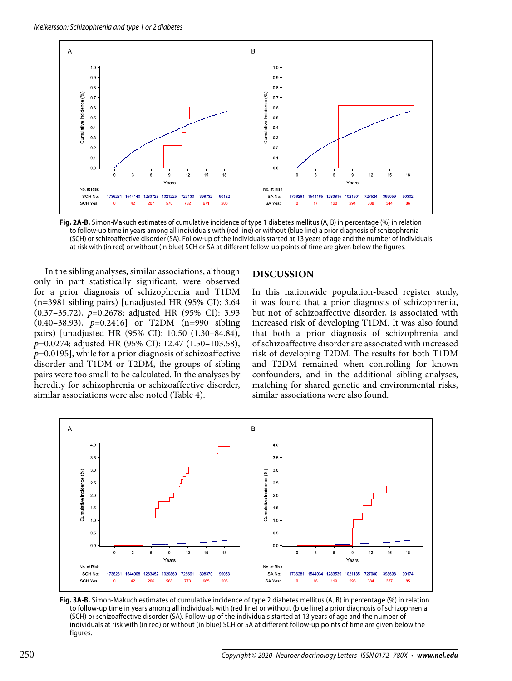

**Fig. 2A-B.** Simon-Makuch estimates of cumulative incidence of type 1 diabetes mellitus (A, B) in percentage (%) in relation to follow-up time in years among all individuals with (red line) or without (blue line) a prior diagnosis of schizophrenia (SCH) or schizoaffective disorder (SA). Follow-up of the individuals started at 13 years of age and the number of individuals at risk with (in red) or without (in blue) SCH or SA at different follow-up points of time are given below the figures.

In the sibling analyses, similar associations, although only in part statistically significant, were observed for a prior diagnosis of schizophrenia and T1DM (n=3981 sibling pairs) [unadjusted HR (95% CI): 3.64 (0.37–35.72), *p*=0.2678; adjusted HR (95% CI): 3.93 (0.40–38.93), *p*=0.2416] or T2DM (n=990 sibling pairs) [unadjusted HR (95% CI): 10.50 (1.30–84.84), *p*=0.0274; adjusted HR (95% CI): 12.47 (1.50–103.58), *p*=0.0195], while for a prior diagnosis of schizoaffective disorder and T1DM or T2DM, the groups of sibling pairs were too small to be calculated. In the analyses by heredity for schizophrenia or schizoaffective disorder, similar associations were also noted (Table 4).

#### **DISCUSSION**

In this nationwide population-based register study, it was found that a prior diagnosis of schizophrenia, but not of schizoaffective disorder, is associated with increased risk of developing T1DM. It was also found that both a prior diagnosis of schizophrenia and of schizoaffective disorder are associated with increased risk of developing T2DM. The results for both T1DM and T2DM remained when controlling for known confounders, and in the additional sibling-analyses, matching for shared genetic and environmental risks, similar associations were also found.



**Fig. 3A-B.** Simon-Makuch estimates of cumulative incidence of type 2 diabetes mellitus (A, B) in percentage (%) in relation to follow-up time in years among all individuals with (red line) or without (blue line) a prior diagnosis of schizophrenia (SCH) or schizoaffective disorder (SA). Follow-up of the individuals started at 13 years of age and the number of individuals at risk with (in red) or without (in blue) SCH or SA at different follow-up points of time are given below the figures.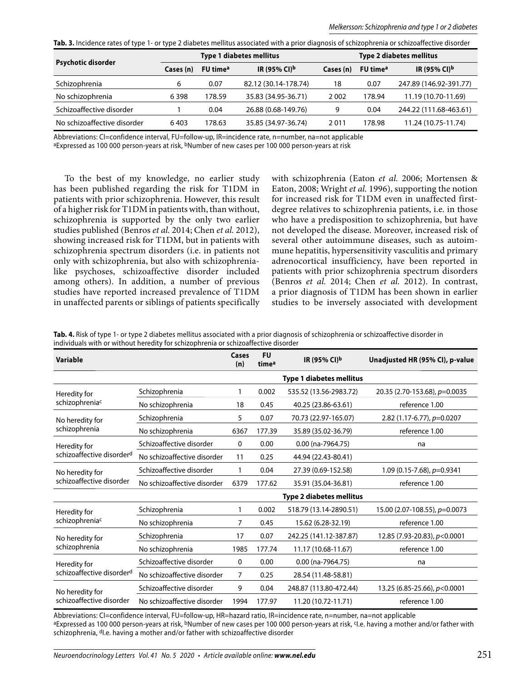Tab. 3. Incidence rates of type 1- or type 2 diabetes mellitus associated with a prior diagnosis of schizophrenia or schizoaffective disorder

| <b>Psychotic disorder</b>   | <b>Type 1 diabetes mellitus</b> |                      |                          | Type 2 diabetes mellitus |                      |                          |
|-----------------------------|---------------------------------|----------------------|--------------------------|--------------------------|----------------------|--------------------------|
|                             | Cases (n)                       | FU time <sup>a</sup> | IR (95% CI) <sup>b</sup> | Cases (n)                | FU time <sup>a</sup> | IR (95% CI) <sup>b</sup> |
| Schizophrenia               | 6                               | 0.07                 | 82.12 (30.14-178.74)     | 18                       | 0.07                 | 247.89 (146.92-391.77)   |
| No schizophrenia            | 6398                            | 178.59               | 35.83 (34.95-36.71)      | 2002                     | 178.94               | 11.19 (10.70-11.69)      |
| Schizoaffective disorder    |                                 | 0.04                 | 26.88 (0.68-149.76)      | 9                        | 0.04                 | 244.22 (111.68-463.61)   |
| No schizoaffective disorder | 6403                            | 178.63               | 35.85 (34.97-36.74)      | 2011                     | 178.98               | 11.24 (10.75-11.74)      |

Abbreviations: CI=confidence interval, FU=follow-up, IR=incidence rate, n=number, na=not applicable

aExpressed as 100 000 person-years at risk, <sup>b</sup>Number of new cases per 100 000 person-years at risk

To the best of my knowledge, no earlier study has been published regarding the risk for T1DM in patients with prior schizophrenia. However, this result of a higher risk for T1DM in patients with, than without, schizophrenia is supported by the only two earlier studies published (Benros *et al.* 2014; Chen *et al.* 2012), showing increased risk for T1DM, but in patients with schizophrenia spectrum disorders (i.e. in patients not only with schizophrenia, but also with schizophrenialike psychoses, schizoaffective disorder included among others). In addition, a number of previous studies have reported increased prevalence of T1DM in unaffected parents or siblings of patients specifically with schizophrenia (Eaton *et al.* 2006; Mortensen & Eaton, 2008; Wright *et al.* 1996), supporting the notion for increased risk for T1DM even in unaffected firstdegree relatives to schizophrenia patients, i.e. in those who have a predisposition to schizophrenia, but have not developed the disease. Moreover, increased risk of several other autoimmune diseases, such as autoimmune hepatitis, hypersensitivity vasculitis and primary adrenocortical insufficiency, have been reported in patients with prior schizophrenia spectrum disorders (Benros *et al.* 2014; Chen *et al.* 2012). In contrast, a prior diagnosis of T1DM has been shown in earlier studies to be inversely associated with development

**Tab. 4.** Risk of type 1- or type 2 diabetes mellitus associated with a prior diagnosis of schizophrenia or schizoaffective disorder in individuals with or without heredity for schizophrenia or schizoaffective disorder

| Variable                                              |                             | Cases<br>(n) | <b>FU</b><br>time <sup>a</sup> | IR (95% CI)b                    | Unadjusted HR (95% CI), p-value |
|-------------------------------------------------------|-----------------------------|--------------|--------------------------------|---------------------------------|---------------------------------|
|                                                       |                             |              |                                | <b>Type 1 diabetes mellitus</b> |                                 |
| Heredity for<br>schizophreniac                        | Schizophrenia               | 1            | 0.002                          | 535.52 (13.56-2983.72)          | 20.35 (2.70-153.68), p=0.0035   |
|                                                       | No schizophrenia            | 18           | 0.45                           | 40.25 (23.86-63.61)             | reference 1.00                  |
| No heredity for<br>schizophrenia                      | Schizophrenia               | 5            | 0.07                           | 70.73 (22.97-165.07)            | 2.82 (1.17-6.77), p=0.0207      |
|                                                       | No schizophrenia            | 6367         | 177.39                         | 35.89 (35.02-36.79)             | reference 1.00                  |
| Heredity for<br>schizoaffective disorder <sup>d</sup> | Schizoaffective disorder    | $\mathbf{0}$ | 0.00                           | 0.00 (na-7964.75)               | na                              |
|                                                       | No schizoaffective disorder | 11           | 0.25                           | 44.94 (22.43-80.41)             |                                 |
| No heredity for<br>schizoaffective disorder           | Schizoaffective disorder    |              | 0.04                           | 27.39 (0.69-152.58)             | 1.09 (0.15-7.68), $p=0.9341$    |
|                                                       | No schizoaffective disorder | 6379         | 177.62                         | 35.91 (35.04-36.81)             | reference 1.00                  |
|                                                       |                             |              |                                | <b>Type 2 diabetes mellitus</b> |                                 |
| Heredity for<br>schizophreniac                        | Schizophrenia               | 1            | 0.002                          | 518.79 (13.14-2890.51)          | 15.00 (2.07-108.55), $p=0.0073$ |
|                                                       | No schizophrenia            | 7            | 0.45                           | 15.62 (6.28-32.19)              | reference 1.00                  |
| No heredity for<br>schizophrenia                      | Schizophrenia               | 17           | 0.07                           | 242.25 (141.12-387.87)          | 12.85 (7.93-20.83), p<0.0001    |
|                                                       | No schizophrenia            | 1985         | 177.74                         | 11.17 (10.68-11.67)             | reference 1.00                  |
| Heredity for<br>schizoaffective disorder <sup>d</sup> | Schizoaffective disorder    | $\mathbf{0}$ | 0.00                           | 0.00 (na-7964.75)               | na                              |
|                                                       | No schizoaffective disorder | 7            | 0.25                           | 28.54 (11.48-58.81)             |                                 |
| No heredity for<br>schizoaffective disorder           | Schizoaffective disorder    | 9            | 0.04                           | 248.87 (113.80-472.44)          | 13.25 (6.85-25.66), p<0.0001    |
|                                                       | No schizoaffective disorder | 1994         | 177.97                         | 11.20 (10.72-11.71)             | reference 1.00                  |

Abbreviations: CI=confidence interval, FU=follow-up, HR=hazard ratio, IR=incidence rate, n=number, na=not applicable aExpressed as 100 000 person-years at risk, <sup>b</sup>Number of new cases per 100 000 person-years at risk, <sup>c</sup>I.e. having a mother and/or father with schizophrenia, <sup>d</sup>l.e. having a mother and/or father with schizoaffective disorder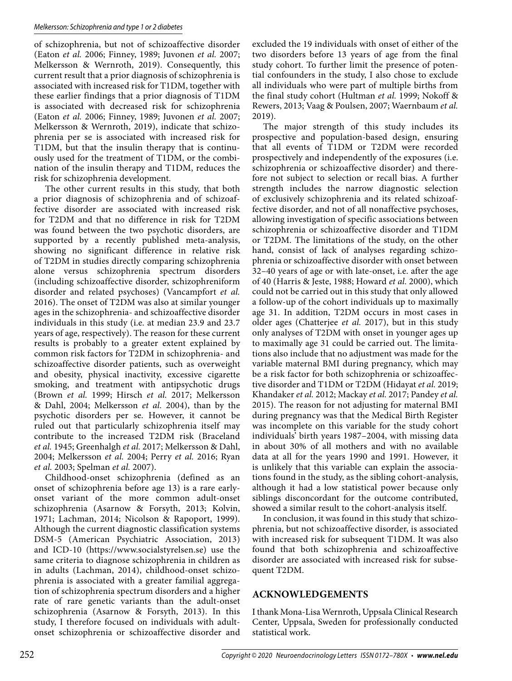of schizophrenia, but not of schizoaffective disorder (Eaton *et al.* 2006; Finney, 1989; Juvonen *et al.* 2007; Melkersson & Wernroth, 2019). Consequently, this current result that a prior diagnosis of schizophrenia is associated with increased risk for T1DM, together with these earlier findings that a prior diagnosis of T1DM is associated with decreased risk for schizophrenia (Eaton *et al.* 2006; Finney, 1989; Juvonen *et al.* 2007; Melkersson & Wernroth, 2019), indicate that schizophrenia per se is associated with increased risk for T1DM, but that the insulin therapy that is continuously used for the treatment of T1DM, or the combination of the insulin therapy and T1DM, reduces the risk for schizophrenia development.

The other current results in this study, that both a prior diagnosis of schizophrenia and of schizoaffective disorder are associated with increased risk for T2DM and that no difference in risk for T2DM was found between the two psychotic disorders, are supported by a recently published meta-analysis, showing no significant difference in relative risk of T2DM in studies directly comparing schizophrenia alone versus schizophrenia spectrum disorders (including schizoaffective disorder, schizophreniform disorder and related psychoses) (Vancampfort *et al.* 2016). The onset of T2DM was also at similar younger ages in the schizophrenia- and schizoaffective disorder individuals in this study (i.e. at median 23.9 and 23.7 years of age, respectively). The reason for these current results is probably to a greater extent explained by common risk factors for T2DM in schizophrenia- and schizoaffective disorder patients, such as overweight and obesity, physical inactivity, excessive cigarette smoking, and treatment with antipsychotic drugs (Brown *et al.* 1999; Hirsch *et al.* 2017; Melkersson & Dahl, 2004; Melkersson *et al.* 2004), than by the psychotic disorders per se. However, it cannot be ruled out that particularly schizophrenia itself may contribute to the increased T2DM risk (Braceland *et al.* 1945; Greenhalgh *et al.* 2017; Melkersson & Dahl, 2004; Melkersson *et al.* 2004; Perry *et al.* 2016; Ryan *et al.* 2003; Spelman *et al.* 2007).

Childhood-onset schizophrenia (defined as an onset of schizophrenia before age 13) is a rare earlyonset variant of the more common adult-onset schizophrenia (Asarnow & Forsyth, 2013; Kolvin, 1971; Lachman, 2014; Nicolson & Rapoport, 1999). Although the current diagnostic classification systems DSM-5 (American Psychiatric Association, 2013) and ICD-10 (https://www.socialstyrelsen.se) use the same criteria to diagnose schizophrenia in children as in adults (Lachman, 2014), childhood-onset schizophrenia is associated with a greater familial aggregation of schizophrenia spectrum disorders and a higher rate of rare genetic variants than the adult-onset schizophrenia (Asarnow & Forsyth, 2013). In this study, I therefore focused on individuals with adultonset schizophrenia or schizoaffective disorder and excluded the 19 individuals with onset of either of the two disorders before 13 years of age from the final study cohort. To further limit the presence of potential confounders in the study, I also chose to exclude all individuals who were part of multiple births from the final study cohort (Hultman *et al.* 1999; Nokoff & Rewers, 2013; Vaag & Poulsen, 2007; Waernbaum *et al.* 2019).

The major strength of this study includes its prospective and population-based design, ensuring that all events of T1DM or T2DM were recorded prospectively and independently of the exposures (i.e. schizophrenia or schizoaffective disorder) and therefore not subject to selection or recall bias. A further strength includes the narrow diagnostic selection of exclusively schizophrenia and its related schizoaffective disorder, and not of all nonaffective psychoses, allowing investigation of specific associations between schizophrenia or schizoaffective disorder and T1DM or T2DM. The limitations of the study, on the other hand, consist of lack of analyses regarding schizophrenia or schizoaffective disorder with onset between 32–40 years of age or with late-onset, i.e. after the age of 40 (Harris & Jeste, 1988; Howard *et al.* 2000), which could not be carried out in this study that only allowed a follow-up of the cohort individuals up to maximally age 31. In addition, T2DM occurs in most cases in older ages (Chatterjee *et al.* 2017), but in this study only analyses of T2DM with onset in younger ages up to maximally age 31 could be carried out. The limitations also include that no adjustment was made for the variable maternal BMI during pregnancy, which may be a risk factor for both schizophrenia or schizoaffective disorder and T1DM or T2DM (Hidayat *et al.* 2019; Khandaker *et al.* 2012; Mackay *et al.* 2017; Pandey *et al.* 2015). The reason for not adjusting for maternal BMI during pregnancy was that the Medical Birth Register was incomplete on this variable for the study cohort individuals' birth years 1987–2004, with missing data in about 30% of all mothers and with no available data at all for the years 1990 and 1991. However, it is unlikely that this variable can explain the associations found in the study, as the sibling cohort-analysis, although it had a low statistical power because only siblings disconcordant for the outcome contributed, showed a similar result to the cohort-analysis itself.

In conclusion, it was found in this study that schizophrenia, but not schizoaffective disorder, is associated with increased risk for subsequent T1DM. It was also found that both schizophrenia and schizoaffective disorder are associated with increased risk for subsequent T2DM.

## **ACKNOWLEDGEMENTS**

I thank Mona-Lisa Wernroth, Uppsala Clinical Research Center, Uppsala, Sweden for professionally conducted statistical work.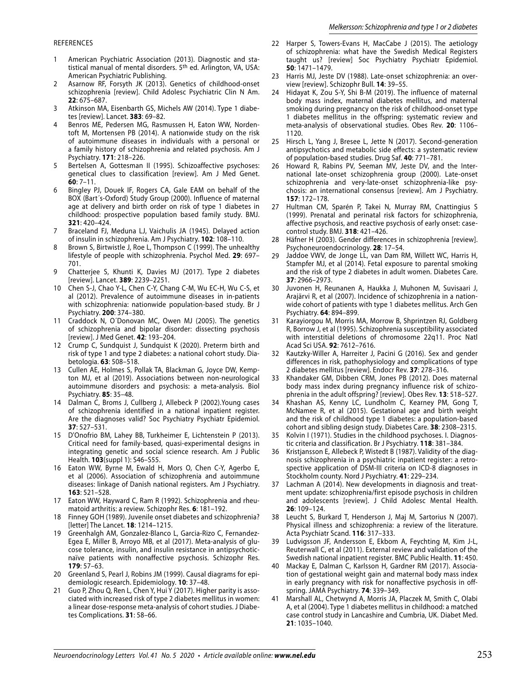#### REFERENCES

- 1 American Psychiatric Association (2013). Diagnostic and statistical manual of mental disorders. 5th ed. Arlington, VA, USA: American Psychiatric Publishing.
- 2 Asarnow RF, Forsyth JK (2013). Genetics of childhood-onset schizophrenia [review]. Child Adolesc Psychiatric Clin N Am. **22**: 675–687.
- 3 Atkinson MA, Eisenbarth GS, Michels AW (2014). Type 1 diabetes [review]. Lancet. **383**: 69–82.
- Benros ME, Pedersen MG, Rasmussen H, Eaton WW, Nordentoft M, Mortensen PB (2014). A nationwide study on the risk of autoimmune diseases in individuals with a personal or a family history of schizophrenia and related psychosis. Am J Psychiatry. **171**: 218–226.
- Bertelsen A, Gottesman II (1995). Schizoaffective psychoses: genetical clues to classification [review]. Am J Med Genet. **60**: 7–11.
- 6 Bingley PJ, Douek IF, Rogers CA, Gale EAM on behalf of the BOX (Bart´s-Oxford) Study Group (2000). Influence of maternal age at delivery and birth order on risk of type 1 diabetes in childhood: prospective population based family study. BMJ. **321**: 420–424.
- Braceland FJ, Meduna LJ, Vaichulis JA (1945). Delayed action of insulin in schizophrenia. Am J Psychiatry. **102**: 108–110.
- 8 Brown S, Birtwistle J, Roe L, Thompson C (1999). The unhealthy lifestyle of people with schizophrenia. Psychol Med. **29**: 697– 701.
- 9 Chatterjee S, Khunti K, Davies MJ (2017). Type 2 diabetes [review]. Lancet. **389**: 2239–2251.
- 10 Chen S-J, Chao Y-L, Chen C-Y, Chang C-M, Wu EC-H, Wu C-S, et al (2012). Prevalence of autoimmune diseases in in-patients with schizophrenia: nationwide population-based study. Br J Psychiatry. **200**: 374–380.
- 11 Craddock N, O´Donovan MC, Owen MJ (2005). The genetics of schizophrenia and bipolar disorder: dissecting psychosis [review]. J Med Genet. **42**: 193–204.
- 12 Crump C, Sundquist J, Sundquist K (2020). Preterm birth and risk of type 1 and type 2 diabetes: a national cohort study. Diabetologia. **63**: 508–518.
- 13 Cullen AE, Holmes S, Pollak TA, Blackman G, Joyce DW, Kempton MJ, et al (2019). Associations between non-neurological autoimmune disorders and psychosis: a meta-analysis. Biol Psychiatry. **85**: 35–48.
- 14 Dalman C, Broms J, Cullberg J, Allebeck P (2002).Young cases of schizophrenia identified in a national inpatient register. Are the diagnoses valid? Soc Psychiatry Psychiatr Epidemiol. **37**: 527–531.
- 15 D'Onofrio BM, Lahey BB, Turkheimer E, Lichtenstein P (2013). Critical need for family-based, quasi-experimental designs in integrating genetic and social science research. Am J Public Health. **103**(suppl 1): S46–S55.
- 16 Eaton WW, Byrne M, Ewald H, Mors O, Chen C-Y, Agerbo E, et al (2006). Association of schizophrenia and autoimmune diseases: linkage of Danish national registers. Am J Psychiatry. **163**: 521–528.
- 17 Eaton WW, Hayward C, Ram R (1992). Schizophrenia and rheumatoid arthritis: a review. Schizophr Res. **6**: 181–192.
- 18 Finney GOH (1989). Juvenile onset diabetes and schizophrenia? [letter] The Lancet. **18**: 1214–1215.
- Greenhalgh AM, Gonzalez-Blanco L, Garcia-Rizo C, Fernandez-Egea E, Miller B, Arroyo MB, et al (2017). Meta-analysis of glucose tolerance, insulin, and insulin resistance in antipsychoticnaïve patients with nonaffective psychosis. Schizophr Res. **179**: 57–63.
- 20 Greenland S, Pearl J, Robins JM (1999). Causal diagrams for epidemiologic research. Epidemiology. **10**: 37–48.
- 21 Guo P, Zhou Q, Ren L, Chen Y, Hui Y (2017). Higher parity is associated with increased risk of type 2 diabetes mellitus in women: a linear dose-response meta-analysis of cohort studies. J Diabetes Complications. **31**: 58–66.
- 22 Harper S, Towers-Evans H, MacCabe J (2015). The aetiology of schizophrenia: what have the Swedish Medical Registers taught us? [review] Soc Psychiatry Psychiatr Epidemiol. **50**: 1471–1479.
- 23 Harris MJ, Jeste DV (1988). Late-onset schizophrenia: an overview [review]. Schizophr Bull. **14**: 39–55.
- 24 Hidayat K, Zou S-Y, Shi B-M (2019). The influence of maternal body mass index, maternal diabetes mellitus, and maternal smoking during pregnancy on the risk of childhood-onset type 1 diabetes mellitus in the offspring: systematic review and meta-analysis of observational studies. Obes Rev. **20**: 1106– 1120.
- 25 Hirsch L, Yang J, Bresee L, Jette N (2017). Second-generation antipsychotics and metabolic side effects: a systematic review of population-based studies. Drug Saf. **40**: 771–781.
- Howard R, Rabins PV, Seeman MV, Jeste DV, and the International late-onset schizophrenia group (2000). Late-onset schizophrenia and very-late-onset schizophrenia-like psychosis: an international consensus [review]. Am J Psychiatry. **157**: 172–178.
- 27 Hultman CM, Sparén P, Takei N, Murray RM, Cnattingius S (1999). Prenatal and perinatal risk factors for schizophrenia, affective psychosis, and reactive psychosis of early onset: casecontrol study. BMJ. **318**: 421–426.
- Häfner H (2003). Gender differences in schizophrenia [review]. Psychoneuroendocrinology. **28**: 17–54.
- 29 Jaddoe VWV, de Jonge LL, van Dam RM, Willett WC, Harris H, Stampfer MJ, et al (2014). Fetal exposure to parental smoking and the risk of type 2 diabetes in adult women. Diabetes Care. **37**: 2966–2973.
- 30 Juvonen H, Reunanen A, Haukka J, Muhonen M, Suvisaari J, Arajärvi R, et al (2007). Incidence of schizophrenia in a nationwide cohort of patients with type 1 diabetes mellitus. Arch Gen Psychiatry. **64**: 894–899.
- Karayiorgou M, Morris MA, Morrow B, Shprintzen RJ, Goldberg R, Borrow J, et al (1995). Schizophrenia susceptibility associated with interstitial deletions of chromosome 22q11. Proc Natl Acad Sci USA. **92**: 7612–7616.
- 32 Kautzky-Willer A, Harreiter J, Pacini G (2016). Sex and gender differences in risk, pathophysiology and complications of type 2 diabetes mellitus [review]. Endocr Rev. **37**: 278–316.
- 33 Khandaker GM, Dibben CRM, Jones PB (2012). Does maternal body mass index during pregnancy influence risk of schizophrenia in the adult offspring? [review]. Obes Rev. **13**: 518–527.
- Khashan AS, Kenny LC, Lundholm C, Kearney PM, Gong T, McNamee R, et al (2015). Gestational age and birth weight and the risk of childhood type 1 diabetes: a population-based cohort and sibling design study. Diabetes Care. **38**: 2308–2315.
- Kolvin I (1971). Studies in the childhood psychoses. I. Diagnostic criteria and classification. Br J Psychiatry. **118**: 381–384.
- 36 Kristjansson E, Allebeck P, Wistedt B (1987). Validity of the diagnosis schizophrenia in a psychiatric inpatient register: a retrospective application of DSM-III criteria on ICD-8 diagnoses in Stockholm county. Nord J Psychiatry. **41**: 229–234.
- 37 Lachman A (2014). New developments in diagnosis and treatment update: schizophrenia/first episode psychosis in children and adolescents [review]. J Child Adolesc Mental Health. **26**: 109–124.
- 38 Leucht S, Burkard T, Henderson J, Maj M, Sartorius N (2007). Physical illness and schizophrenia: a review of the literature. Acta Psychiatr Scand. **116**: 317–333.
- 39 Ludvigsson JF, Andersson E, Ekbom A, Feychting M, Kim J-L, Reuterwall C, et al (2011). External review and validation of the Swedish national inpatient register. BMC Public Health. **11**: 450.
- 40 Mackay E, Dalman C, Karlsson H, Gardner RM (2017). Association of gestational weight gain and maternal body mass index in early pregnancy with risk for nonaffective psychosis in offspring. JAMA Psychiatry. **74**: 339–349.
- 41 Marshall AL, Chetwynd A, Morris JA, Placzek M, Smith C, Olabi A, et al (2004). Type 1 diabetes mellitus in childhood: a matched case control study in Lancashire and Cumbria, UK. Diabet Med. **21**: 1035–1040.